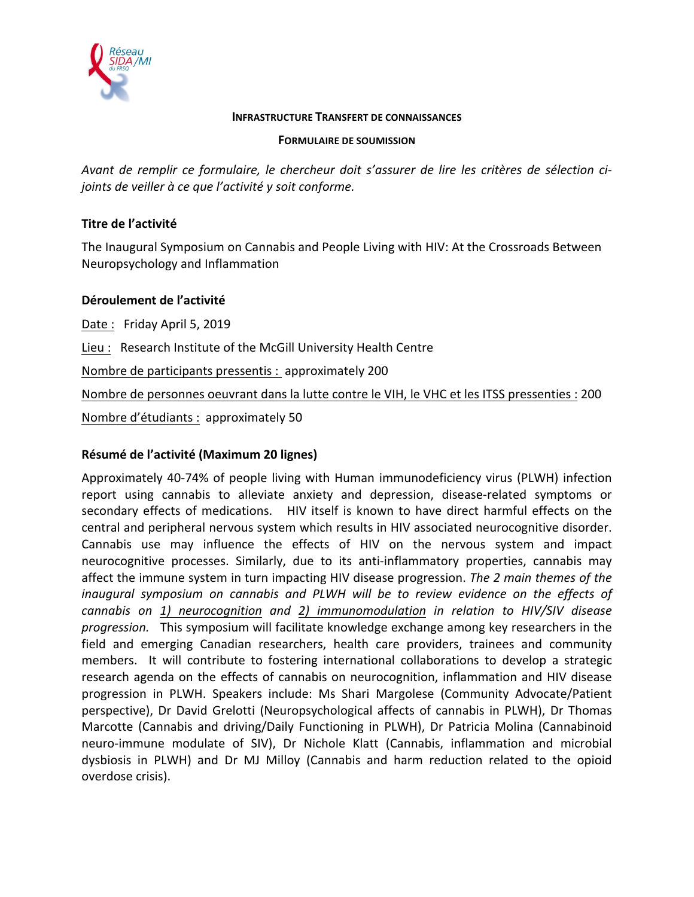

#### **INFRASTRUCTURE TRANSFERT DE CONNAISSANCES**

#### **FORMULAIRE DE SOUMISSION**

Avant de remplir ce formulaire, le chercheur doit s'assurer de lire les critères de sélection ci*joints de veiller à ce que l'activité y soit conforme.* 

## **Titre de l'activité**

The Inaugural Symposium on Cannabis and People Living with HIV: At the Crossroads Between Neuropsychology and Inflammation

### **Déroulement de l'activité**

Date: Friday April 5, 2019 Lieu : Research Institute of the McGill University Health Centre Nombre de participants pressentis : approximately 200 Nombre de personnes oeuvrant dans la lutte contre le VIH, le VHC et les ITSS pressenties : 200 Nombre d'étudiants : approximately 50

# **Résumé de l'activité (Maximum 20 lignes)**

Approximately 40-74% of people living with Human immunodeficiency virus (PLWH) infection report using cannabis to alleviate anxiety and depression, disease-related symptoms or secondary effects of medications. HIV itself is known to have direct harmful effects on the central and peripheral nervous system which results in HIV associated neurocognitive disorder. Cannabis use may influence the effects of HIV on the nervous system and impact neurocognitive processes. Similarly, due to its anti-inflammatory properties, cannabis may affect the immune system in turn impacting HIV disease progression. *The 2 main themes of the inaugural* symposium on cannabis and PLWH will be to review evidence on the effects of *cannabis on 1) neurocognition and 2) immunomodulation in relation to HIV/SIV disease progression.* This symposium will facilitate knowledge exchange among key researchers in the field and emerging Canadian researchers, health care providers, trainees and community members. It will contribute to fostering international collaborations to develop a strategic research agenda on the effects of cannabis on neurocognition, inflammation and HIV disease progression in PLWH. Speakers include: Ms Shari Margolese (Community Advocate/Patient perspective), Dr David Grelotti (Neuropsychological affects of cannabis in PLWH), Dr Thomas Marcotte (Cannabis and driving/Daily Functioning in PLWH), Dr Patricia Molina (Cannabinoid neuro-immune modulate of SIV), Dr Nichole Klatt (Cannabis, inflammation and microbial dysbiosis in PLWH) and Dr MJ Milloy (Cannabis and harm reduction related to the opioid overdose crisis).